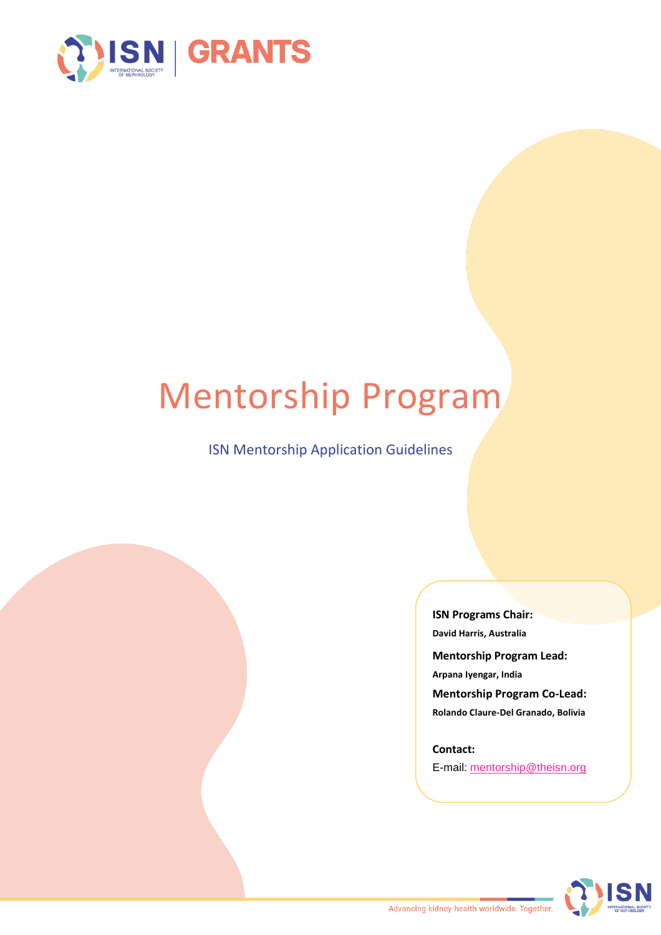

# Mentorship Program

ISN Mentorship Application Guidelines

**ISN Programs Chair: David Harris, Australia Mentorship Program Lead: Arpana Iyengar, India Mentorship Program Co-Lead: Rolando Claure-Del Granado, Bolivia**

**Contact:** E-mail: [mentorship@theisn.org](mailto:mentorship@theisn.org) 

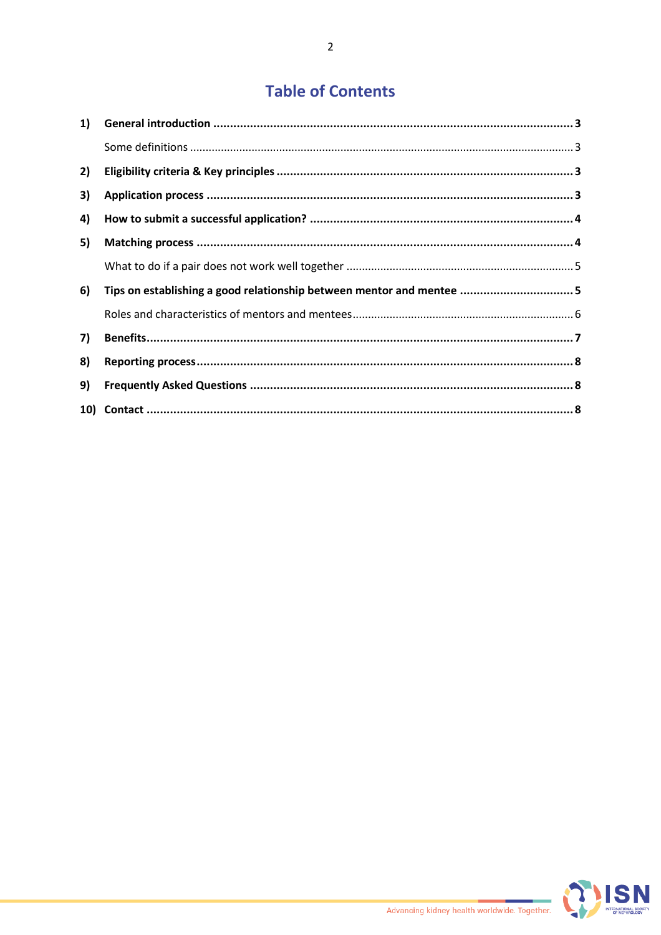## **Table of Contents**

| 2) |                                                                       |
|----|-----------------------------------------------------------------------|
| 3) |                                                                       |
| 4) |                                                                       |
| 5) |                                                                       |
|    |                                                                       |
| 6) | Tips on establishing a good relationship between mentor and mentee  5 |
|    |                                                                       |
| 7) |                                                                       |
| 8) |                                                                       |
| 9) |                                                                       |
|    |                                                                       |

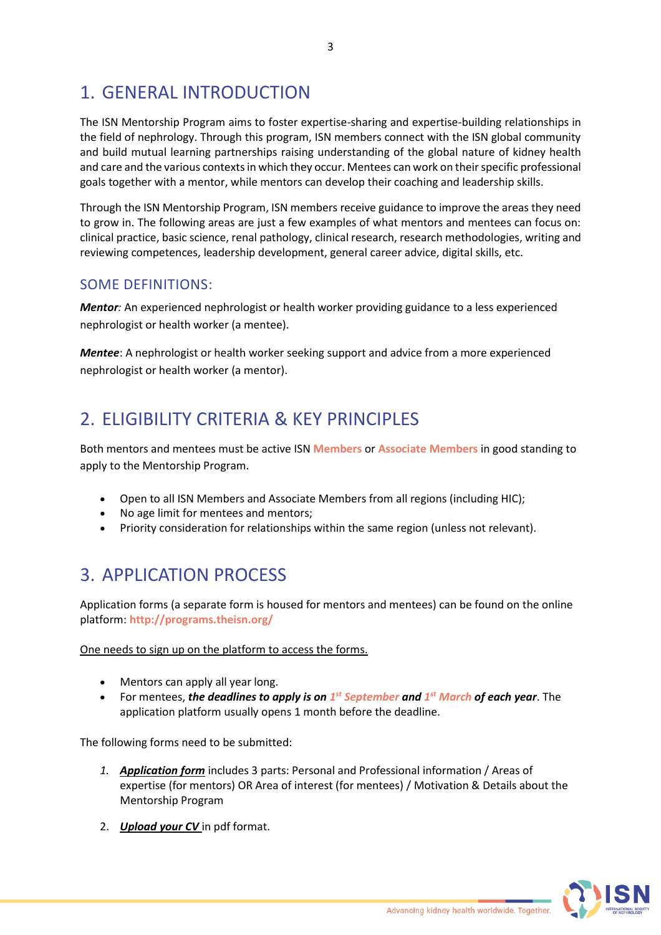# 1. GENERAL INTRODUCTION

The ISN Mentorship Program aims to foster expertise-sharing and expertise-building relationships in the field of nephrology. Through this program, ISN members connect with the ISN global community and build mutual learning partnerships raising understanding of the global nature of kidney health and care and the various contexts in which they occur. Mentees can work on their specific professional goals together with a mentor, while mentors can develop their coaching and leadership skills.

Through the ISN Mentorship Program, ISN members receive guidance to improve the areas they need to grow in. The following areas are just a few examples of what mentors and mentees can focus on: clinical practice, basic science, renal pathology, clinical research, research methodologies, writing and reviewing competences, leadership development, general career advice, digital skills, etc.

## SOME DEFINITIONS:

*Mentor:* An experienced nephrologist or health worker providing guidance to a less experienced nephrologist or health worker (a mentee).

*Mentee*: A nephrologist or health worker seeking support and advice from a more experienced nephrologist or health worker (a mentor).

# 2. ELIGIBILITY CRITERIA & KEY PRINCIPLES

Both mentors and mentees must be active ISN **Members** or **Associate Members** in good standing to apply to the Mentorship Program.

- Open to all ISN Members and Associate Members from all regions (including HIC);
- No age limit for mentees and mentors;
- Priority consideration for relationships within the same region (unless not relevant).

## 3. APPLICATION PROCESS

Application forms (a separate form is housed for mentors and mentees) can be found on the online platform: **http://programs.theisn.org/**

One needs to sign up on the platform to access the forms.

- Mentors can apply all year long.
- For mentees, *the deadlines to apply is on 1 st September and 1 st March of each year*. The application platform usually opens 1 month before the deadline.

The following forms need to be submitted:

- *1. Application form* includes 3 parts: Personal and Professional information / Areas of expertise (for mentors) OR Area of interest (for mentees) / Motivation & Details about the Mentorship Program
- 2. *Upload your CV* in pdf format.

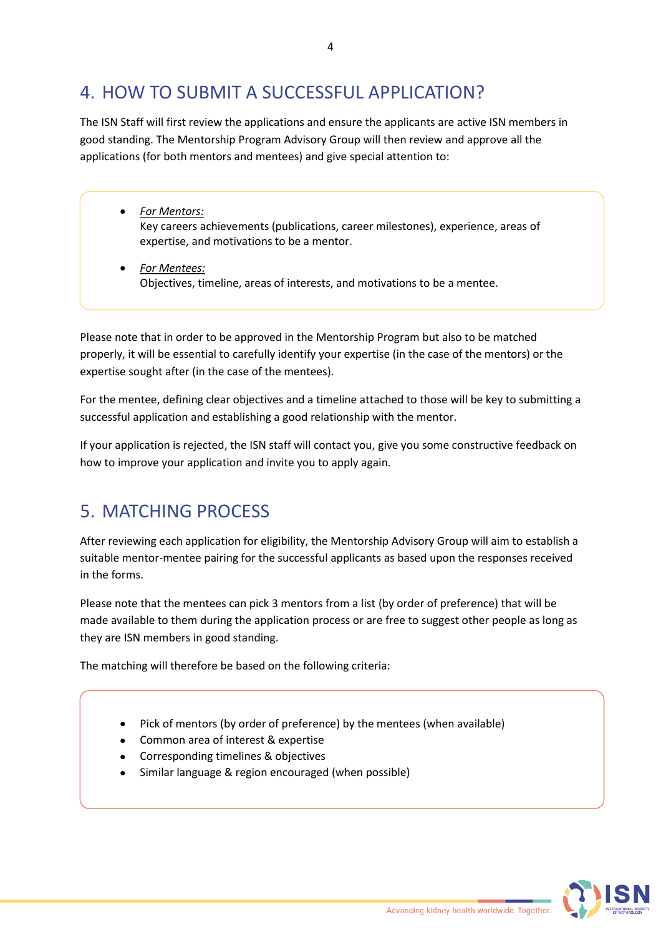# 4. HOW TO SUBMIT A SUCCESSFUL APPLICATION?

The ISN Staff will first review the applications and ensure the applicants are active ISN members in good standing. The Mentorship Program Advisory Group will then review and approve all the applications (for both mentors and mentees) and give special attention to:

- *For Mentors:* Key careers achievements (publications, career milestones), experience, areas of expertise, and motivations to be a mentor.
- *For Mentees:* Objectives, timeline, areas of interests, and motivations to be a mentee.

Please note that in order to be approved in the Mentorship Program but also to be matched properly, it will be essential to carefully identify your expertise (in the case of the mentors) or the expertise sought after (in the case of the mentees).

For the mentee, defining clear objectives and a timeline attached to those will be key to submitting a successful application and establishing a good relationship with the mentor.

If your application is rejected, the ISN staff will contact you, give you some constructive feedback on how to improve your application and invite you to apply again.

# 5. MATCHING PROCESS

After reviewing each application for eligibility, the Mentorship Advisory Group will aim to establish a suitable mentor-mentee pairing for the successful applicants as based upon the responses received in the forms.

Please note that the mentees can pick 3 mentors from a list (by order of preference) that will be made available to them during the application process or are free to suggest other people as long as they are ISN members in good standing.

The matching will therefore be based on the following criteria:

- Pick of mentors (by order of preference) by the mentees (when available)
- Common area of interest & expertise
- Corresponding timelines & objectives
- Similar language & region encouraged (when possible)

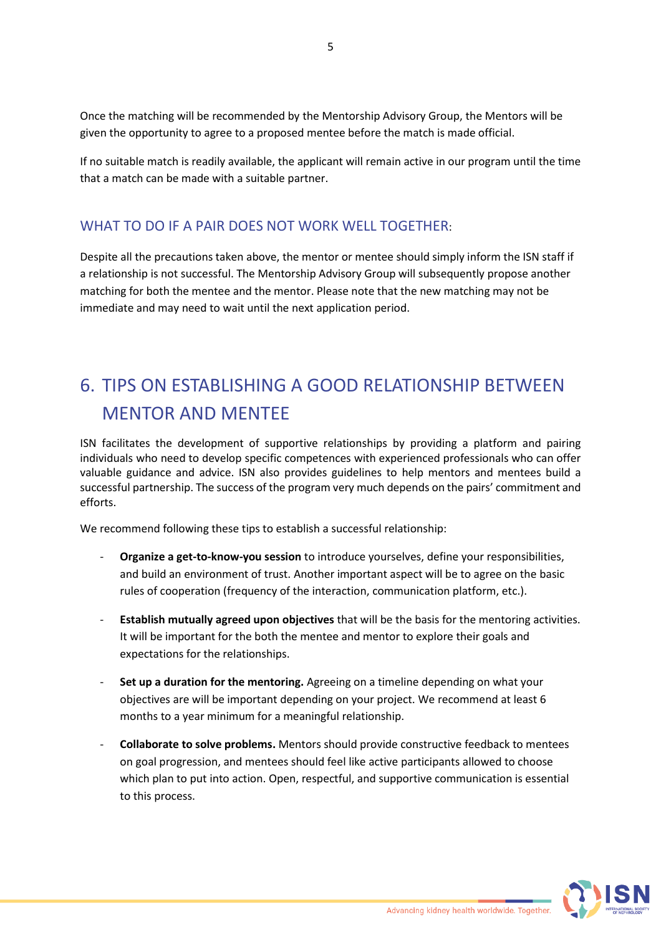Once the matching will be recommended by the Mentorship Advisory Group, the Mentors will be given the opportunity to agree to a proposed mentee before the match is made official.

If no suitable match is readily available, the applicant will remain active in our program until the time that a match can be made with a suitable partner.

## WHAT TO DO IF A PAIR DOES NOT WORK WELL TOGETHER:

Despite all the precautions taken above, the mentor or mentee should simply inform the ISN staff if a relationship is not successful. The Mentorship Advisory Group will subsequently propose another matching for both the mentee and the mentor. Please note that the new matching may not be immediate and may need to wait until the next application period.

# 6. TIPS ON ESTABLISHING A GOOD RELATIONSHIP BETWEEN MENTOR AND MENTEE

ISN facilitates the development of supportive relationships by providing a platform and pairing individuals who need to develop specific competences with experienced professionals who can offer valuable guidance and advice. ISN also provides guidelines to help mentors and mentees build a successful partnership. The success of the program very much depends on the pairs' commitment and efforts.

We recommend following these tips to establish a successful relationship:

- **Organize a get-to-know-you session** to introduce yourselves, define your responsibilities, and build an environment of trust. Another important aspect will be to agree on the basic rules of cooperation (frequency of the interaction, communication platform, etc.).
- **Establish mutually agreed upon objectives** that will be the basis for the mentoring activities. It will be important for the both the mentee and mentor to explore their goals and expectations for the relationships.
- **Set up a duration for the mentoring.** Agreeing on a timeline depending on what your objectives are will be important depending on your project. We recommend at least 6 months to a year minimum for a meaningful relationship.
- **Collaborate to solve problems.** Mentors should provide constructive feedback to mentees on goal progression, and mentees should feel like active participants allowed to choose which plan to put into action. Open, respectful, and supportive communication is essential to this process.

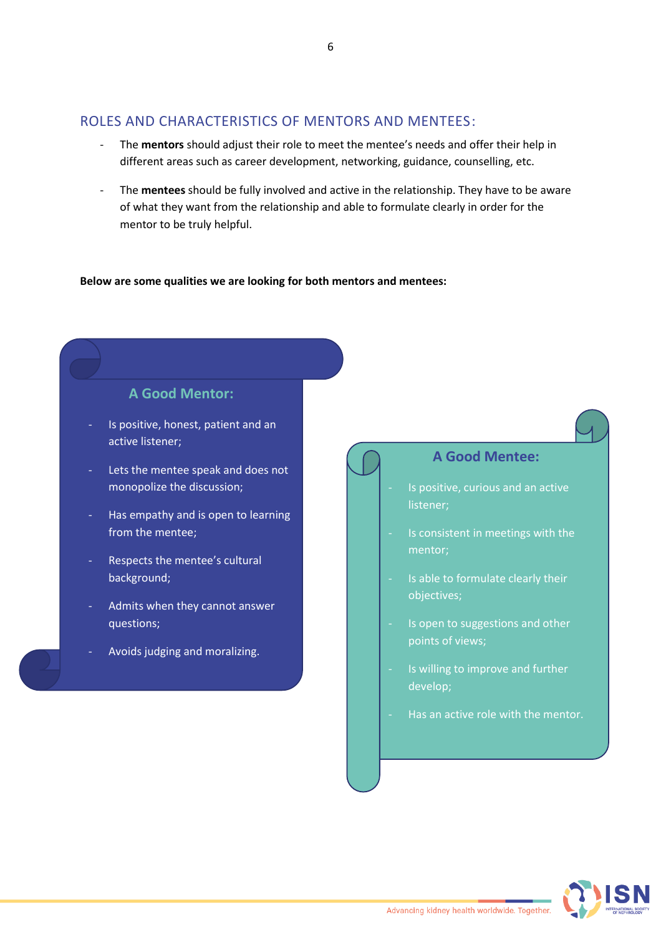## ROLES AND CHARACTERISTICS OF MENTORS AND MENTEES:

- The **mentors** should adjust their role to meet the mentee's needs and offer their help in different areas such as career development, networking, guidance, counselling, etc.
- The **mentees** should be fully involved and active in the relationship. They have to be aware of what they want from the relationship and able to formulate clearly in order for the mentor to be truly helpful.

#### **Below are some qualities we are looking for both mentors and mentees:**



- Is positive, honest, patient and an active listener;
- Lets the mentee speak and does not monopolize the discussion;
- Has empathy and is open to learning from the mentee;
- Respects the mentee's cultural background;
- Admits when they cannot answer questions;
- Avoids judging and moralizing.

**A Good Mentee:**

- Is positive, curious and an active listener;
- Is consistent in meetings with the
- Is able to formulate clearly their objectives;
- Is open to suggestions and other points of views;
- Is willing to improve and further develop;
- Has an active role with the mentor.

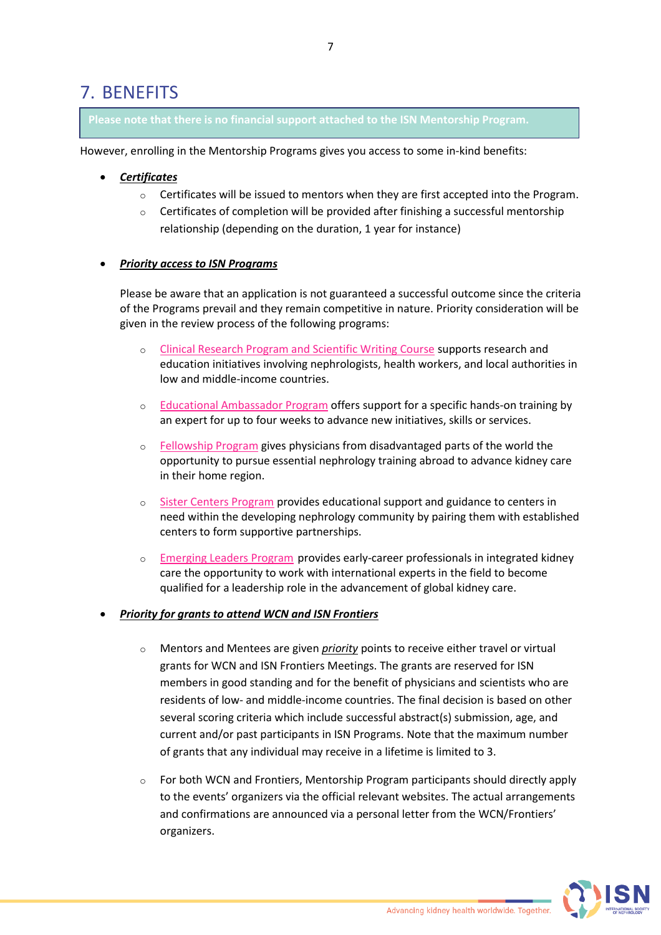## 7. BENEFITS

**Please note that there is no financial support attached to the ISN Mentorship Program.** 

However, enrolling in the Mentorship Programs gives you access to some in-kind benefits:

- *Certificates*
	- $\circ$  Certificates will be issued to mentors when they are first accepted into the Program.
	- $\circ$  Certificates of completion will be provided after finishing a successful mentorship relationship (depending on the duration, 1 year for instance)

## • *Priority access to ISN Programs*

Please be aware that an application is not guaranteed a successful outcome since the criteria of the Programs prevail and they remain competitive in nature. Priority consideration will be given in the review process of the following programs:

- o [Clinical Research Program and Scientific Writing Course](https://www.theisn.org/in-action/grants/isn-clinical-research/) supports research and education initiatives involving nephrologists, health workers, and local authorities in low and middle-income countries.
- o [Educational Ambassador Program](https://www.theisn.org/in-action/grants/educational-ambassadors/) offers support for a specific hands-on training by an expert for up to four weeks to advance new initiatives, skills or services.
- o [Fellowship Program](http://fellowship.theisn.org/) gives physicians from disadvantaged parts of the world the opportunity to pursue essential nephrology training abroad to advance kidney care in their home region.
- o [Sister Centers Program](https://www.theisn.org/in-action/grants/sister-centers/) provides educational support and guidance to centers in need within the developing nephrology community by pairing them with established centers to form supportive partnerships.
- o [Emerging Leaders Program](https://www.theisn.org/in-action/grants/emerging-leaders/) provides early-career professionals in integrated kidney care the opportunity to work with international experts in the field to become qualified for a leadership role in the advancement of global kidney care.

#### • *Priority for grants to attend WCN and ISN Frontiers*

- o Mentors and Mentees are given *priority* points to receive either travel or virtual grants for WCN and ISN Frontiers Meetings. The grants are reserved for ISN members in good standing and for the benefit of physicians and scientists who are residents of low- and middle-income countries. The final decision is based on other several scoring criteria which include successful abstract(s) submission, age, and current and/or past participants in ISN Programs. Note that the maximum number of grants that any individual may receive in a lifetime is limited to 3.
- $\circ$  For both WCN and Frontiers, Mentorship Program participants should directly apply to the events' organizers via the official relevant websites. The actual arrangements and confirmations are announced via a personal letter from the WCN/Frontiers' organizers.